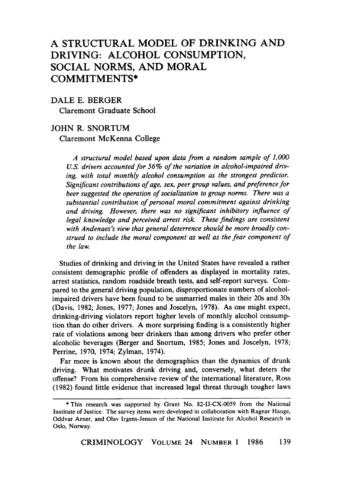# **A STRUCTURAL MODEL OF DRINKING AND DRIVING: ALCOHOL CONSUMPTION, SOCIAL NORMS, AND MORAL COMMITMENTS\***

DALE E. BERGER Claremont Graduate School

JOHN R. SNORTUM

Claremont McKenna College

*A structural model based upon data from a random sample of 1,OOO US. drivers accounted for 56% of the variation in alcohol-impaired driving, with total monthly alcohol consumption as the strongest predictor. Signifcant contributions of age, sex, peer group values, and preference for beer suggested the operation of socialization to group norms. There was a substantial contribution of personal moral commitment against drinking and driving. However, there was no significant inhibitory influence of legal knowledge and perceived arrest risk. These findings are consistent with Andenaes's view that general deterrence should be more broadly construed to include the moral component as well as the fear component of the law.* 

Studies of drinking and driving in the United States have revealed a rather consistent demographic profile of offenders as displayed in mortality rates, arrest statistics, random roadside breath tests, and self-report surveys. Compared to the general driving population, disproportionate numbers of alcoholimpaired drivers have been found to be unmarried males in their 20s and 30s (Davis, **1982;** Jones, **1977;** Jones and Joscelyn, **1978).** As one might expect, drinking-driving violators report higher levels of monthly alcohol consumption than do other drivers. A more surprising finding is a consistently higher rate of violations among beer drinkers than among drivers who prefer other alcoholic beverages (Berger and Snortum, **1985;** Jones and Joscelyn, **1978;**  Perrine, **1970, 1974;** Zylman, **1974).** 

Far more is known about the demographics than the dynamics of drunk driving. What motivates drunk driving and, conversely, what deters the offense? From his comprehensive review of the international literature, Ross **(1982)** found little evidence that increased legal threat through tougher laws

<sup>\*</sup> **This research was supported by Grant No. 82-IJ-CX-0059** from **the National Institute** of **Justice. The survey items were developed in collaboration with Ragnar Hauge, Oddvar Arner, and Olav Irgens-Jenson of the National Institute** for **Alcohol Research in Oslo, Norway.**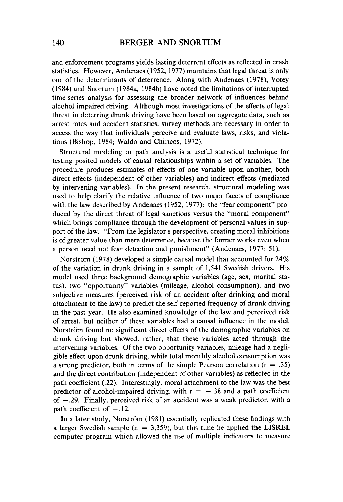and enforcement programs yields lasting deterrent effects as reflected in crash statistics. However, Andenaes (1952, 1977) maintains that legal threat is only one of the determinants of deterrence. Along with Andenaes (1978), Votey (1984) and Snortum (1984a, 1984b) have noted the limitations of interrupted time-series analysis for assessing the broader network of influences behind alcohol-impaired driving. Although most investigations of the effects of legal threat in deterring drunk driving have been based on aggregate data, such as arrest rates and accident statistics, survey methods are necessary in order to access the way that individuals perceive and evaluate laws, risks, and violations (Bishop, 1984; Waldo and Chiricos, 1972).

Structural modeling or path analysis is a useful statistical technique for testing posited models of causal relationships within a set of variables. The procedure produces estimates of effects of one variable upon another, both direct effects (independent of other variables) and indirect effects (mediated by intervening variables). In the present research, structural modeling was used to help clarify the relative influence of two major facets of compliance with the law described by Andenaes (1952, 1977): the "fear component" produced by the direct threat of legal sanctions versus the "moral component" which brings compliance through the development of personal values in support of the law. "From the legislator's perspective, creating moral inhibitions is of greater value than mere deterrence, because the former works even when a person need not fear detection and punishment" (Andenaes, 1977: 51).

Norström (1978) developed a simple causal model that accounted for  $24\%$ of the variation in drunk driving in a sample of 1,541 Swedish drivers. His model used three background demographic variables (age, sex, marital status), two "opportunity" variables (mileage, alcohol consumption), and two subjective measures (perceived risk of an accident after drinking and moral attachment to the law) to predict the self-reported frequency of drunk driving in the past year. He also examined knowledge of the law and perceived risk of arrest, but neither of these variables had a causal influence in the model. Norström found no significant direct effects of the demographic variables on drunk driving but showed, rather, that these variables acted through the intervening variables. Of the two opportunity variables, mileage had a negligible effect upon drunk driving, while total monthly alcohol consumption was a strong predictor, both in terms of the simple Pearson correlation  $(r = .35)$ and the direct contribution (independent of other variables) as reflected in the path coefficient (.22). Interestingly, moral attachment to the law was the best predictor of alcohol-impaired driving, with  $r = -.38$  and a path coefficient of  $-.29$ . Finally, perceived risk of an accident was a weak predictor, with a path coefficient of  $-.12$ .

In a later study, Norström (1981) essentially replicated these findings with a larger Swedish sample ( $n = 3,359$ ), but this time he applied the LISREL computer program which allowed the use of multiple indicators to measure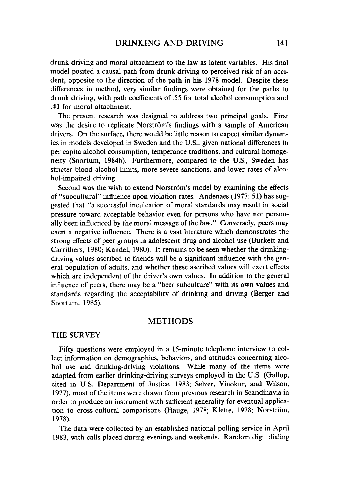drunk driving and moral attachment to the law as latent variables. His final model posited a causal path from drunk driving to perceived risk of an accident, opposite to the direction of the path in his 1978 model. Despite these differences in method, very similar findings were obtained for the paths to drunk driving, with path coefficients of *.55* for total alcohol consumption and .41 for moral attachment.

The present research was designed to address two principal goals. First was the desire to replicate Norström's findings with a sample of American drivers. On the surface, there would be little reason to expect similar dynamics in models developed in Sweden and the U.S., given national differences in per capita alcohol consumption, temperance traditions, and cultural homogeneity (Snortum, 1984b). Furthermore, compared to the **US,** Sweden has stricter blood alcohol limits, more severe sanctions, and lower rates of alcohol-impaired driving.

Second was the wish to extend Norström's model by examining the effects of "subcultural" influence upon violation rates. Andenaes (1977: *5* 1) has suggested that "a successful inculcation of moral standards may result in social pressure toward acceptable behavior even for persons who have not personally been influenced by the moral message of the law." Conversely, peers may exert a negative influence. There is a vast literature which demonstrates the strong effects of peer groups in adolescent drug and alcohol use (Burkett and Carrithers, 1980; Kandel, 1980). It remains to be seen whether the drinkingdriving values ascribed to friends will be a significant influence with the general population of adults, and whether these ascribed values will exert effects which are independent of the driver's own values. In addition to the general influence of peers, there may be a "beer subculture" with its own values and standards regarding the acceptability of drinking and driving (Berger and Snortum, 1985).

# **METHODS**

#### THE SURVEY

Fifty questions were employed in a 15-minute telephone interview to collect information on demographics, behaviors, and attitudes concerning alcohol use and drinking-driving violations. While many of the items were adapted from earlier drinking-driving surveys employed in the U.S. (Gallup, cited in **US.** Department of Justice, 1983; Selzer, Vinokur, and Wilson, 1977), most of the items were drawn from previous research in Scandinavia in order to produce an instrument with sufficient generality for eventual application to cross-cultural comparisons (Hauge, 1978; Klette, 1978; Norstrom, 1978).

The data were collected by an established national polling service in April 1983, with calls placed during evenings and weekends. Random digit dialing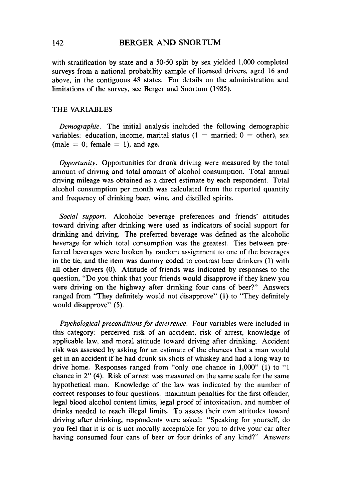# **142 BERGER AND SNORTUM**

with stratification by state and a 50-50 split by sex yielded 1,OOO completed surveys from a national probability sample of licensed drivers, aged 16 and above, in the contiguous **48** states. For details on the administration and limitations of the survey, see Berger and Snortum (1985).

#### THE VARIABLES

*Demographic.* The initial analysis included the following demographic variables: education, income, marital status (1 = married; 0 = other), sex  $(male = 0; female = 1)$ , and age.

*Opportunity.* Opportunities for drunk driving were measured by the total amount of driving and total amount of alcohol consumption. Total annual driving mileage was obtained as a direct estimate by each respondent. Total alcohol consumption per month was calculated from the reported quantity and frequency of drinking beer, wine, and distilled spirits.

*Social support.* Alcoholic beverage preferences and friends' attitudes toward driving after drinking were used as indicators of social support for drinking and driving. The preferred beverage was defined as the alcoholic beverage for which total consumption was the greatest. Ties between preferred beverages were broken by random assignment to one of the beverages in the tie, and the item was dummy coded to contrast beer drinkers (1) with all other drivers (0). Attitude of friends was indicated by responses to the question, "Do you think that your friends would disapprove if they knew you were driving on the highway after drinking four cans of beer?" Answers ranged from "They definitely would not disapprove" (1) to "They definitely would disapprove" *(5).* 

*Psychological preconditions for deterrence.* Four variables were included in this category: perceived risk of an accident, risk of arrest, knowledge of applicable law, and moral attitude toward driving after drinking. Accident risk was assessed by asking for an estimate of the chances that a man would get in an accident if he had drunk six shots of whiskey and had a long way to drive home. Responses ranged from "only one chance in 1,000" (1) to "1 chance in 2" **(4).** Risk of arrest was measured on the same scale for the same hypothetical man. Knowledge of the law was indicated by the number of correct responses to four questions: maximum penalties for the first offender, legal blood alcohol content limits, legal proof of intoxication, and number of drinks needed to reach illegal limits. **To** assess their own attitudes toward driving after drinking, respondents were asked: "Speaking for yourself, do you feel that it is or is not morally acceptable for you to drive your car after having consumed four cans of beer or four drinks of any kind?" Answers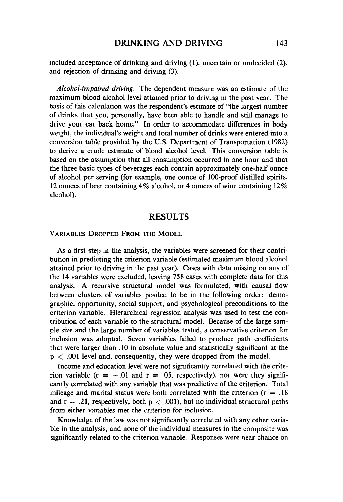included acceptance of drinking and driving (l), uncertain or undecided (2), and rejection of drinking and driving (3).

*Alcohol-impaired driving.* The dependent measure was an estimate of the maximum blood alcohol level attained prior to driving in the past year. The basis of this calculation was the respondent's estimate of "the largest number of drinks that you, personally, have been able to handle and still manage to drive your car back home." In order to accommodate differences in body weight, the individual's weight and total number of drinks were entered into a conversion table provided by the **U.S.** Department of Transportation (1982) to derive a crude estimate of blood alcohol level. This conversion table is based on the assumption that all consumption occurred in one hour and that the three basic types of beverages each contain approximately one-half ounce of alcohol per serving (for example, one ounce of 100-proof distilled spirits, 12 ounces of beer containing **4%** alcohol, or **4** ounces of wine containing 12% alcohol).

# **RESULTS**

### **VARIABLES DROPPED FROM THE MODEL**

As a first step in the analysis, the variables were screened for their contribution in predicting the criterion variable (estimated maximum blood alcohol attained prior to driving in the past year). Cases with data missing on any of the 14 variables were excluded, leaving 758 cases with complete data for this analysis. A recursive structural model was formulated, with causal flow between clusters of variables posited to be in the following order: demographic, opportunity, social support, and psychological preconditions to the criterion variable. Hierarchical regression analysis was used to test the contribution of each variable to the structural model. Because of the large sample size and the large number of variables tested, a conservative criterion for inclusion was adopted. Seven variables failed to produce path coefficients that were larger than .10 in absolute value and statistically significant at the  $p < .001$  level and, consequently, they were dropped from the model.

Income and education level were not significantly correlated with the criterion variable  $(r = -.01$  and  $r = .05$ , respectively), nor were they significantly correlated with any variable that was predictive of the criterion. Total mileage and marital status were both correlated with the criterion  $(r = .18$ and  $r = .21$ , respectively, both  $p < .001$ ), but no individual structural paths from either variables met the criterion for inclusion.

Knowledge of the law was not significantly correlated with any other variable in the analysis, and none of the individual measures in the composite was significantly related to the criterion variable. Responses were near chance on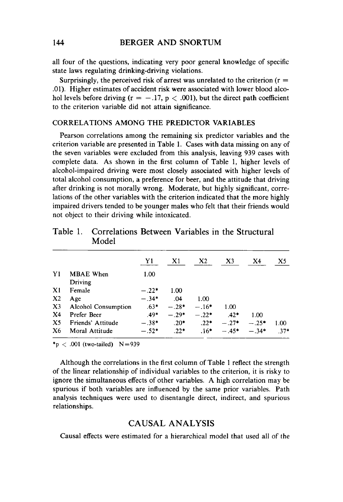all four of the questions, indicating very poor general knowledge of specific state laws regulating drinking-driving violations.

Surprisingly, the perceived risk of arrest was unrelated to the criterion  $(r =$ .01). Higher estimates of accident risk were associated with lower blood alcohol levels before driving  $(r = -.17, p < .001)$ , but the direct path coefficient to the criterion variable did not attain significance.

## CORRELATIONS AMONG THE PREDICTOR VARIABLES

Pearson correlations among the remaining six predictor variables and the criterion variable are presented in Table 1. Cases with data missing on any of the seven variables were excluded from this analysis, leaving 939 cases with complete data. As shown in the first column of Table 1, higher levels of alcohol-impaired driving were most closely associated with higher levels of total alcohol consumption, a preference for beer, and the attitude that driving after drinking is not morally wrong. Moderate, but highly significant, correlations of the other variables with the criterion indicated that the more highly impaired drivers tended to be younger males who felt that their friends would not object to their driving while intoxicated.

|                |                     | Y1      | X1      | X <sub>2</sub> | X <sub>3</sub> | X4      | X5     |
|----------------|---------------------|---------|---------|----------------|----------------|---------|--------|
| Y1             | <b>MBAE</b> When    | 1.00    |         |                |                |         |        |
|                | Driving             |         |         |                |                |         |        |
| X <sub>1</sub> | Female              | $-.22*$ | 1.00    |                |                |         |        |
| X <sub>2</sub> | Age                 | $-.34*$ | .04     | 1.00           |                |         |        |
| X <sub>3</sub> | Alcohol Consumption | $.63*$  | $-.28*$ | $-.16*$        | 1.00           |         |        |
| X <sub>4</sub> | Prefer Beer         | $.49*$  | $-.29*$ | $-.22*$        | $.42*$         | 1.00    |        |
| X <sub>5</sub> | Friends' Attitude   | $-.38*$ | $.20*$  | $.22*$         | $-.27*$        | $-.25*$ | 1.00   |
| X6             | Moral Attitude      | $-.52*$ | $.22*$  | $.16*$         | $-.45*$        | $-.34*$ | $.37*$ |

**Table** 1. **Correlations Between Variables in the Structural Model** 

 $*_{p}$  < .001 (two-tailed) N=939

Although the correlations in the first column of Table 1 reflect the strength of the linear relationship of individual variables to the criterion, it is risky to ignore the simultaneous effects of other variables. **A** high correlation may be spurious if both variables are influenced by the same prior variables. Path analysis techniques were used to disentangle direct, indirect, and spurious relationships.

# **CAUSAL ANALYSIS**

Causal effects were estimated for a hierarchical model that used all of the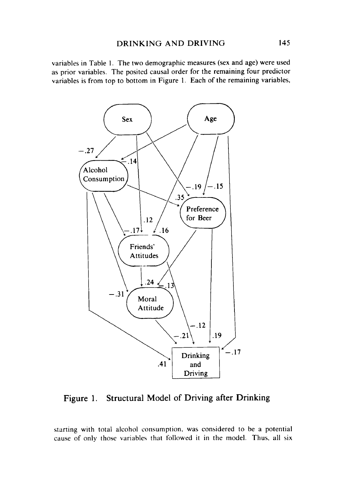variables in Table 1. The two demographic measures (sex and age) were used as prior variables. The posited causal order for the remaining four predictor variables is from top to bottom in Figure 1. Each of the remaining variables,



**Figure 1. Structural Model of Driving after Drinking** 

starting with total alcohol consumption, was considered to be a potential cause of only those variables that followed it in the model. Thus, all six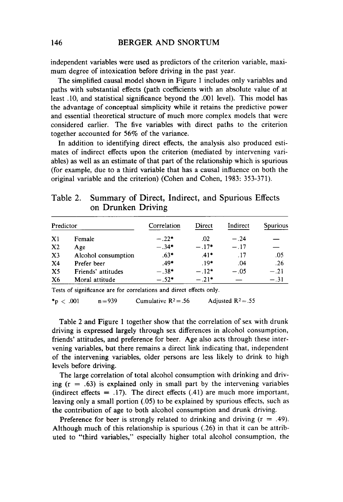independent variables were used as predictors of the criterion variable, maximum degree of intoxication before driving in the past year.

The simplified causal model shown in Figure 1 includes only variables and paths with substantial effects (path coefficients with an absolute value of at least .lo, and statistical significance beyond the .001 level). This model has the advantage of conceptual simplicity while it retains the predictive power and essential theoretical structure of much more complex models that were considered earlier. The five variables with direct paths to the criterion together accounted for 56% of the variance.

In addition to identifying direct effects, the analysis also produced estimates of indirect effects upon the criterion (mediated by intervening variables) as well as an estimate of that part of the relationship which is spurious (for example, due to a third variable that has a causal influence on both the original variable and the criterion) (Cohen and Cohen, 1983: 353-371).

| Predictor      |                     | Correlation | Direct  | Indirect | <b>Spurious</b> |  |
|----------------|---------------------|-------------|---------|----------|-----------------|--|
| X1             | Female              | $-.22*$     | .02     | $-.24$   |                 |  |
| X <sub>2</sub> | Age                 | $-.34*$     | $-.17*$ | $-.17$   |                 |  |
| X <sub>3</sub> | Alcohol consumption | $.63*$      | $.41*$  | .17      | .05             |  |
| X <sub>4</sub> | Prefer beer         | $.49*$      | $.19*$  | .04      | .26             |  |
| X <sub>5</sub> | Friends' attitudes  | $-.38*$     | $-.12*$ | $-.05$   | $-.21$          |  |
| X <sub>6</sub> | Moral attitude      | $-.52*$     | $-.21*$ |          | $-.31$          |  |

Table 2. Summary of Direct, Indirect, and Spurious Effects on Drunken Driving

Tests of significance are for correlations and direct effects only.

\*p  $\lt$  .001 n = 939 Cumulative  $R^2 = .56$  Adjusted  $R^2 = .55$ 

Table **2** and Figure 1 together show that the correlation of sex with drunk driving is expressed largely through sex differences in alcohol consumption, friends' attitudes, and preference for beer. Age also acts through these intervening variables, but there remains a direct link indicating that, independent of the intervening variables, older persons are less likely to drink to high levels before driving.

The large correlation of total alcohol consumption with drinking and driving  $(r = .63)$  is explained only in small part by the intervening variables (indirect effects = **.17).** The direct effects **(.41)** are much more important, leaving only a small portion **(.05)** to be explained by spurious effects, such as the contribution of age to both alcohol consumption and drunk driving.

Preference for beer is strongly related to drinking and driving  $(r = .49)$ . Although much of this relationship is spurious (.26) in that it can be attributed to "third variables," especially higher total alcohol consumption, the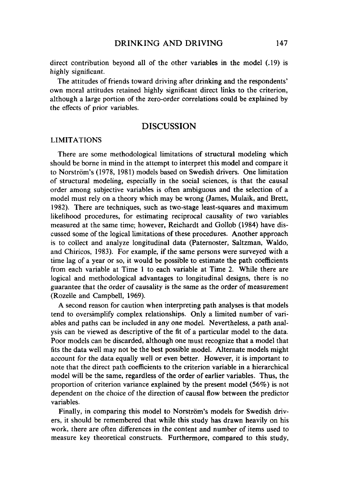direct contribution beyond all of the other variables in the model (.19) is highly significant.

The attitudes of friends toward driving after drinking and the respondents' own moral attitudes retained highly significant direct links to the criterion, although a large portion of the zero-order correlations could be explained by the effects of prior variables.

# **DISCUSSION**

## LIMITATIONS

There are some methodological limitations of structural modeling which should be borne in mind in the attempt to interpret this model and compare it to Norstrom's (1978, 1981) models based on Swedish drivers. One limitation of structural modeling, especially in the social sciences, is that the causal order among subjective variables is often ambiguous and the selection of a model must rely on a theory which may be wrong (James, Mulaik, and Brett, 1982). There are techniques, such as two-stage least-squares and maximum likelihood procedures, for estimating reciprocal causality of two variables measured at the same time; however, Reichardt and Gollob (1984) have discussed some of the logical limitations of these procedures. Another approach is to collect and analyze longitudinal data (Paternoster, Saltzman, Waldo, and Chiricos, 1983). For example, if the same persons were surveyed with a time lag of a year or so, it would be possible to estimate the path coefficients from each variable at Time 1 to each variable at Time **2.** While there are logical and methodological advantages to longitudinal designs, there is no guarantee that the order of causality **is** the same as the order of measurement (Rozelle and Campbell, 1969).

**A** second reason for caution when interpreting path analyses is that models tend to oversimplify complex relationships. Only a limited number of variables and paths can be included in any one model. Nevertheless, a path analysis can be viewed as descriptive of the fit of a particular model to the data. Poor models can be discarded, although one must recognize that a model that fits the data well may not be the best possible model. Alternate models might account for the data equally well or even better. However, it is important to note that the direct path coefficients to the criterion variable in a hierarchical model will be the same, regardless of the order of earlier variables. Thus, the proportion of criterion variance explained by the present model (56%) is not dependent on the choice of the direction of causal flow between the predictor variables.

Finally, in comparing this model to Norström's models for Swedish drivers, it should be remembered that while this study has drawn heavily on his work, there are often differences in the content and number of items used to measure key theoretical constructs. Furthermore, compared to this study,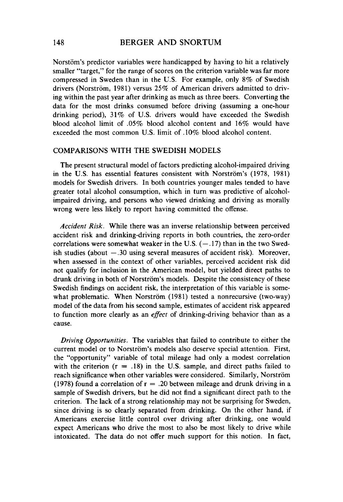## **148 BERGER AND SNORTUM**

Norstöm's predictor variables were handicapped by having to hit a relatively smaller "target," for the range of scores on the criterion variable was far more compressed in Sweden than in the **U.S.** For example, only **8%** of Swedish drivers (Norstrom, **1981)** versus *25%* of American drivers admitted to driving within the past year after drinking as much as three beers. Converting the data for the most drinks consumed before driving (assuming a one-hour drinking period), **31%** of **U.S.** drivers would have exceeded the Swedish blood alcohol limit of **.05%** blood alcohol content and **16%** would have exceeded the most common **U.S.** limit of **.lo%** blood alcohol content.

## COMPARISONS WITH THE SWEDISH MODELS

The present structural model of factors predicting alcohol-impaired driving in the **U.S.** has essential features consistent with Norstrom's **(1978, 1981)**  models for Swedish drivers. In both countries younger males tended to have greater total alcohol consumption, which in turn was predictive of alcoholimpaired driving, and persons who viewed drinking and driving as morally wrong were less likely to report having committed the offense.

*Accident Risk.* While there was an inverse relationship between perceived accident risk and drinking-driving reports in both countries, the zero-order correlations were somewhat weaker in the U.S.  $(-.17)$  than in the two Swedish studies (about  $-.30$  using several measures of accident risk). Moreover, when assessed in the context of other variables, perceived accident risk did not qualify for inclusion in the American model, but yielded direct paths to drunk driving in both of Norström's models. Despite the consistency of these Swedish findings on accident risk, the interpretation of this variable is somewhat problematic. When Norström (1981) tested a nonrecursive (two-way) model of the data from his second sample, estimates of accident risk appeared to function more clearly as an *effect* of drinking-driving behavior than as a cause.

*Driving Opportunities.* The variables that failed to contribute to either the current model or to Norström's models also deserve special attention. First, the "opportunity" variable of total mileage had only a modest correlation with the criterion  $(r = .18)$  in the U.S. sample, and direct paths failed to reach significance when other variables were considered. Similarly, Norström (1978) found a correlation of  $r = .20$  between mileage and drunk driving in a sample of Swedish drivers, but he did not find a significant direct path to the criterion. The lack of a strong relationship may not be surprising for Sweden, since driving is so clearly separated from drinking. On the other hand, if Americans exercise little control over driving after drinking, one would expect Americans who drive the most to also be most likely to drive while intoxicated. The data do not offer much support for this notion. In fact,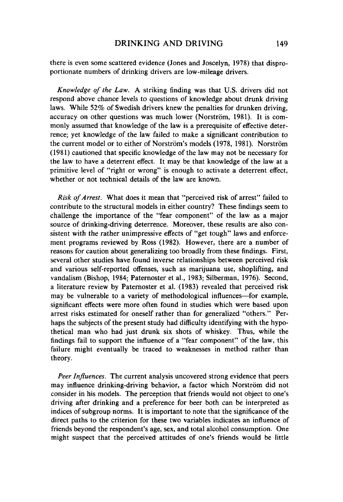there is even some scattered evidence (Jones and Joscelyn, 1978) that disproportionate numbers of drinking drivers are low-mileage drivers.

*Knowledge of the Law.* A striking finding was that **US.** drivers did not respond above chance levels to questions of knowledge about drunk driving laws. While 52% of Swedish drivers knew the penalties for drunken driving, accuracy on other questions was much lower (Norström, 1981). It is commonly assumed that knowledge of the law is a prerequisite of effective deterrence; yet knowledge of the law failed to make a significant contribution to the current model or to either of Norström's models (1978, 1981). Norström (1981) cautioned that specific knowledge of the law may not be necessary for the law to have a deterrent effect. It may be that knowledge of the law at a primitive level of "right or wrong" is enough to activate a deterrent effect, whether or not technical details of the law are known.

*Risk of Arrest.* What does it mean that "perceived risk of arrest" failed to contribute to the structural models in either country? These findings seem to challenge the importance of the "fear component" of the law as a major source of drinking-driving deterrence. Moreover, these results are also consistent with the rather unimpressive effects of "get tough" laws and enforcement programs reviewed by Ross (1982). However, there are a number of reasons for caution about generalizing too broadly from these findings. First, several other studies have found inverse relationships between perceived risk and various self-reported offenses, such as marijuana use, shoplifting, and vandalism (Bishop, 1984; Paternoster et al., 1983; Silberman, 1976). Second, a literature review by Paternoster et al. (1983) revealed that perceived risk may be vulnerable to a variety of methodological influences—for example, significant effects were more often found in studies which were based upon arrest risks estimated for oneself rather than for generalized "others." Perhaps the subjects of the present study had difficulty identifying with the hypothetical man who had just drunk six shots of whiskey. Thus, while the findings fail to support the influence of a "fear component" of the law, this failure might eventually be traced to weaknesses in method rather than theory.

*Peer Influences.* The current analysis uncovered strong evidence that peers may influence drinking-driving behavior, a factor which Norström did not consider in his models. The perception that friends would not object to one's driving after drinking and a preference for beer both can be interpreted as indices of subgroup norms. It is important to note that the significance of the direct paths to the criterion for these two variables indicates an influence of friends beyond the respondent's age, sex, and total alcohol consumption. One might suspect that the perceived attitudes of one's friends would be little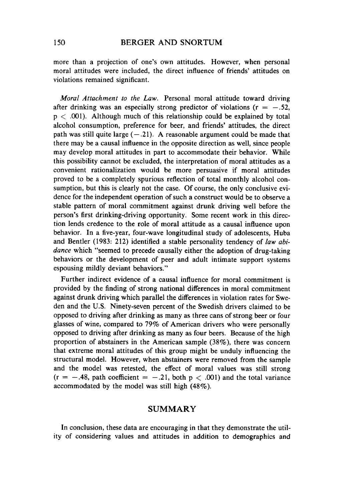more than a projection of one's own attitudes. However, when personal moral attitudes were included, the direct influence of friends' attitudes on violations remained significant.

*Moral Attachment to the Law.* Personal moral attitude toward driving after drinking was an especially strong predictor of violations ( $r = -.52$ ,  $p < .001$ ). Although much of this relationship could be explained by total alcohol consumption, preference for beer, and friends' attitudes, the direct path was still quite large  $(-.21)$ . A reasonable argument could be made that there may be a causal influence in the opposite direction as well, since people may develop moral attitudes in part to accommodate their behavior. While this possibility cannot be excluded, the interpretation of moral attitudes as a convenient rationalization would be more persuasive if moral attitudes proved to be a completely spurious reflection of total monthly alcohol consumption, but this is clearly not the case. Of course, the only conclusive evidence for the independent operation of such a construct would be to observe a stable pattern of moral commitment against drunk driving well before the person's first drinking-driving opportunity. Some recent work in this direction lends credence to the role of moral attitude as a causal influence upon behavior. In a five-year, four-wave longitudinal study of adolescents, Huba and Bentler (1983: 212) identified a stable personality tendency of *law abidance* which "seemed to precede causally either the adoption of drug-taking behaviors or the development of peer and adult intimate support systems espousing mildly deviant behaviors."

Further indirect evidence of a causal influence for moral commitment is provided by the finding of strong national differences in moral commitment against drunk driving which parallel the differences in violation rates for Sweden and the **U.S.** Ninety-seven percent of the Swedish drivers claimed to be opposed to driving after drinking as many as three cans of strong beer or four glasses of wine, compared to 79% of American drivers who were personally opposed to driving after drinking as many as four beers. Because of the high proportion of abstainers in the American sample **(38%),** there was concern that extreme moral attitudes of this group might be unduly influencing the structural model. However, when abstainers were removed from the sample and the model was retested, the effect of moral values was still strong  $(r = -.48, \text{ path coefficient} = -.21, \text{ both } p < .001)$  and the total variance accommodated by the model was still high (48%).

# **SUMMARY**

In conclusion, these data are encouraging in that they demonstrate the utility of considering values and attitudes in addition to demographics and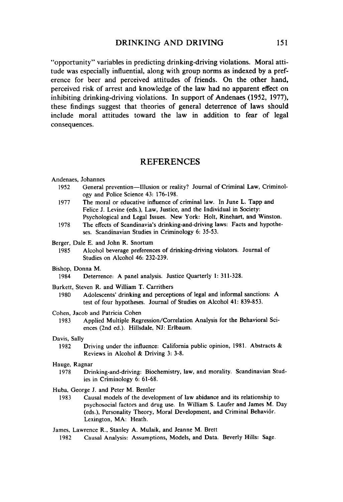"opportunity" variables in predicting drinking-driving violations. Moral attitude was especially influential, along with group norms **as** indexed **by** a preference for beer and perceived attitudes of friends. On the other hand, perceived risk of arrest and knowledge of the law had no apparent effect on inhibiting drinking-driving violations. In support of Andenaes **(1952, 1977),**  these findings suggest that theories of general deterrence of laws should include moral attitudes toward the law in addition to fear of legal consequences.

## **REFERENCES**

#### Andenaes, Johannes

- 1952 General prevention-Illusion or reality? Journal of Criminal Law, Criminology and Police Science 43: 176-198.
- 1977 The moral or educative influence of criminal law. In June L. Tapp and Felice J. Levine (eds.), Law, Justice, and the Individual in Society: Psychological and Legal Issues. New York: Holt, Rinehart, and Winston.
- The effects of Scandinavia's drinking-and-driving laws: Facts and hypotheses. Scandinavian Studies in Criminology 6: 35-53. 1978

#### Berger, Dale E. and John R. Snortum

- Alcohol beverage preferences of drinking-driving violators. Journal of Studies on Alcohol 46: 232-239. 1985
- Bishop, Donna M.
	- 1984 Deterrence: A panel analysis. Justice Quarterly **1:** 31 1-328.
- Burkett, Steven R. and William T. Carrithers
	- Adolescents' drinking and perceptions of legal and informal sanctions: A test of four hypotheses. Journal of Studies on Alcohol **41:** 839-853. 1980
- Cohen, Jacob and Patricia Cohen
	- Applied Multiple Regression/Correlation Analysis for the Behavioral Sciences (2nd ed.). Hillsdale, NJ: Erlbaum. 1983

#### Davis, Sally

- Driving under the influence: California public opinion, 1981. Abstracts & Reviews in Alcohol & Driving 3: 3-8. 1982
- Hauge, Ragnar
	- Drinking-and-driving: Biochemistry, law, and morality. Scandinavian Studies in Criminology 6: 61-68. 1978
- Huba, George J. and Peter M. Bentler
	- Causal models of the development of law abidance and its relationship to psychosocial factors and drug use. In William S. Laufer and James M. Day (eds.), Personality Theory, Moral Development, and Criminal Behavi6r. Lexington, MA: Heath. 1983

James, Lawrence R., Stanley A. Mulaik, and Jeanne M. Brett

Causal Analysis: Assumptions, Models, and Data. Beverly Hills: Sage. 1982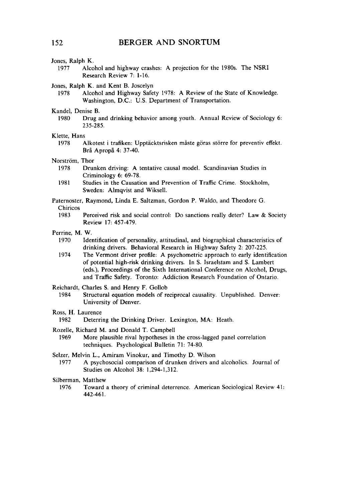Jones, Ralph K.

**1977** Alcohol and highway crashes: A projection for the **1980s.** The NSRI Research Review **7: 1-16.** 

Jones, Ralph K. and Kent B. Joscelyn

Alcohol and Highway Safety **1Y78:** A Review of the State of Knowledge. Washington, D.C.: U.S. Department of Transportation. **1978** 

Kandel, Denise **B.** 

Drug and drinking behavior among youth. Annual Review of Sociology 6: **1980 235-285.** 

Klette, Hans

1978 Alkotest i trafiken: Upptäcktsrisken måste göras större for preventiv effekt. Brå Apropå 4: 37-40.

Norström, Thor

- **1978** Drunken driving: A tentative causal model. Scandinavian Studies in Criminology 6: **69-78.**
- **1981**  Studies in the Causation and Prevention of Traffic Crime. Stockholm, Sweden: Almqvist and Wiksell.

# Paternoster, Raymond, Linda **E.** Saltzman, Gordon P. Waldo, and Theodore G.

Chiricos

- **1983** Perceived risk and social control: Do sanctions really deter? Law & Society Review **17: 457-479.**
- Perrine, M. W.
	- Identification of personality, attitudinal, and biographical characteristics of drinking drivers. Behavioral Research in Highway Safety **2: 207-225. 1970**
	- The Vermont driver profile: A psychometric approach to early identification of potential high-risk drinking drivers. In **S.** Israelstam and **S.** Lambert (eds.), Proceedings of the Sixth International Conference on Alcohol, Drugs, and Traffic Safety. Toronto: Addiction Research Foundation of Ontario. **1974**
- Reichardt, Charles **S.** and Henry **F.** Gollob
	- University of Denver. **1984** Structural equation models of reciprocal causality. Unpublished. Denver:
- Ross, H. Laurence
	- **1982** Deterring the Drinking Driver. Lexington, MA: Heath
- Rozelle, Richard M. and Donald T. Campbell
	- **1969** More plausible rival hypotheses in the cross-lagged panel correlation techniques. Psychological Bulletin **7 1** : **74-80.**

Selzer, Melvin L., Amiram Vinokur, and Timothy D. Wilson

A psychosocial comparison of drunken drivers and alcoholics. Journal of Studies on Alcohol **38: 1,294- 1,3 12. 1977** 

Silberman, Matthew

Toward a theory of criminal deterrence. American Sociological Review **41: 442-46 1. 1976**